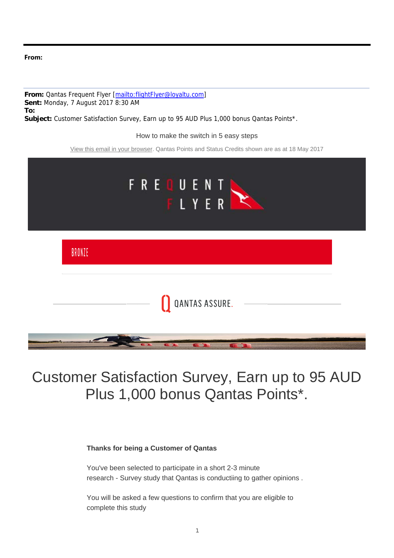#### **From:**

**From:** Qantas Frequent Flyer [mailto:flightFlyer@loyaltu.com] **Sent:** Monday, 7 August 2017 8:30 AM **To: Subject:** Customer Satisfaction Survey, Earn up to 95 AUD Plus 1,000 bonus Qantas Points\*.

How to make the switch in 5 easy steps

View this email in your browser. Qantas Points and Status Credits shown are as at 18 May 2017



# Customer Satisfaction Survey, Earn up to 95 AUD Plus 1,000 bonus Qantas Points\*.

#### **Thanks for being a Customer of Qantas**

You've been selected to participate in a short 2-3 minute research - Survey study that Qantas is conductiing to gather opinions .

You will be asked a few questions to confirm that you are eligible to complete this study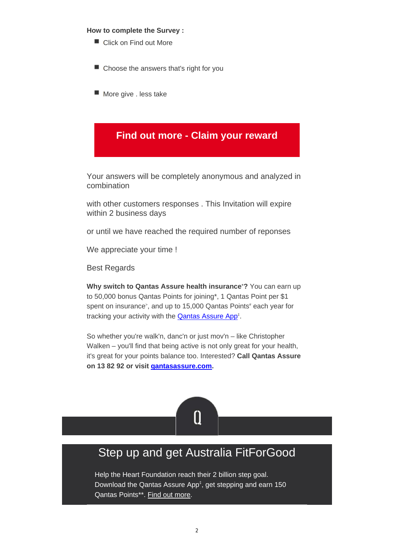#### **How to complete the Survey :**

- Click on Find out More
- Choose the answers that's right for you
- More give . less take

### **Find out more - Claim your reward**

Your answers will be completely anonymous and analyzed in combination

with other customers responses . This Invitation will expire within 2 business days

or until we have reached the required number of reponses

We appreciate your time !

Best Regards

Why switch to Qantas Assure health insurance<sup>+</sup>? You can earn up to 50,000 bonus Qantas Points for joining\*, 1 Qantas Point per \$1 spent on insurance<sup>></sup>, and up to 15,000 Qantas Points<sup>#</sup> each year for tracking your activity with the **Qantas Assure App**<sup>‡</sup>.

So whether you're walk'n, danc'n or just mov'n – like Christopher Walken – you'll find that being active is not only great for your health, it's great for your points balance too. Interested? **Call Qantas Assure on 13 82 92 or visit qantasassure.com.**



## Step up and get Australia FitForGood

Help the Heart Foundation reach their 2 billion step goal. Download the Qantas Assure App<sup>‡</sup>, get stepping and earn 150 Qantas Points\*\*. Find out more.